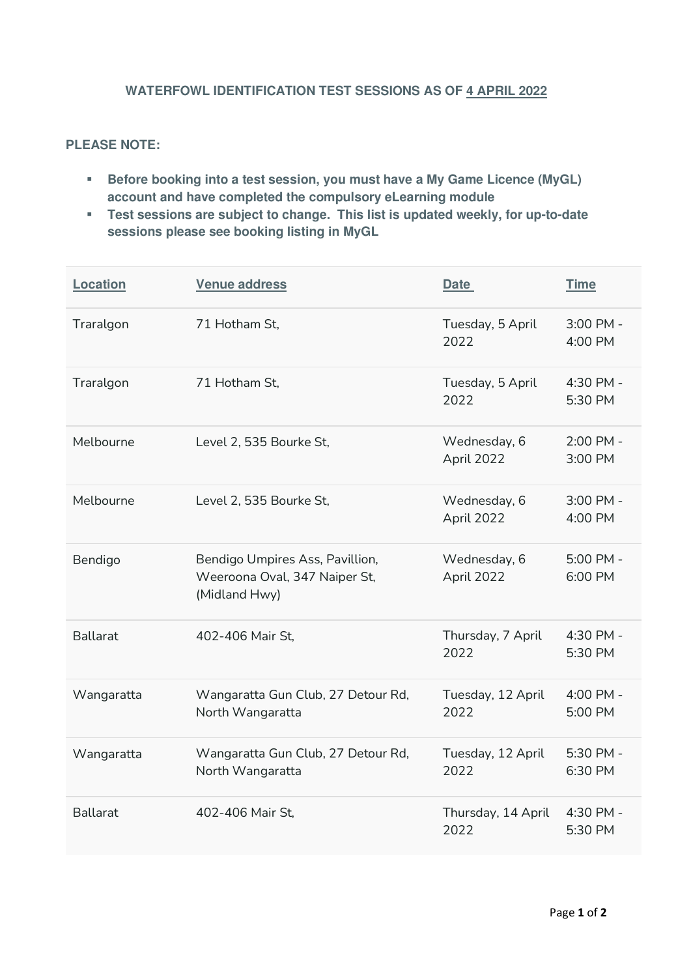## **WATERFOWL IDENTIFICATION TEST SESSIONS AS OF 4 APRIL 2022**

## **PLEASE NOTE:**

- **Before booking into a test session, you must have a My Game Licence (MyGL) account and have completed the compulsory eLearning module**
- **Test sessions are subject to change. This list is updated weekly, for up-to-date sessions please see booking listing in MyGL**

| Location        | Venue address                                                                     | <b>Date</b>                | <b>Time</b>          |
|-----------------|-----------------------------------------------------------------------------------|----------------------------|----------------------|
| Traralgon       | 71 Hotham St.                                                                     | Tuesday, 5 April<br>2022   | 3:00 PM -<br>4:00 PM |
| Traralgon       | 71 Hotham St,                                                                     | Tuesday, 5 April<br>2022   | 4:30 PM -<br>5:30 PM |
| Melbourne       | Level 2, 535 Bourke St,                                                           | Wednesday, 6<br>April 2022 | 2:00 PM -<br>3:00 PM |
| Melbourne       | Level 2, 535 Bourke St,                                                           | Wednesday, 6<br>April 2022 | 3:00 PM -<br>4:00 PM |
| Bendigo         | Bendigo Umpires Ass, Pavillion,<br>Weeroona Oval, 347 Naiper St,<br>(Midland Hwy) | Wednesday, 6<br>April 2022 | 5:00 PM -<br>6:00 PM |
| <b>Ballarat</b> | 402-406 Mair St.                                                                  | Thursday, 7 April<br>2022  | 4:30 PM -<br>5:30 PM |
| Wangaratta      | Wangaratta Gun Club, 27 Detour Rd,<br>North Wangaratta                            | Tuesday, 12 April<br>2022  | 4:00 PM -<br>5:00 PM |
| Wangaratta      | Wangaratta Gun Club, 27 Detour Rd,<br>North Wangaratta                            | Tuesday, 12 April<br>2022  | 5:30 PM -<br>6:30 PM |
| <b>Ballarat</b> | 402-406 Mair St.                                                                  | Thursday, 14 April<br>2022 | 4:30 PM -<br>5:30 PM |